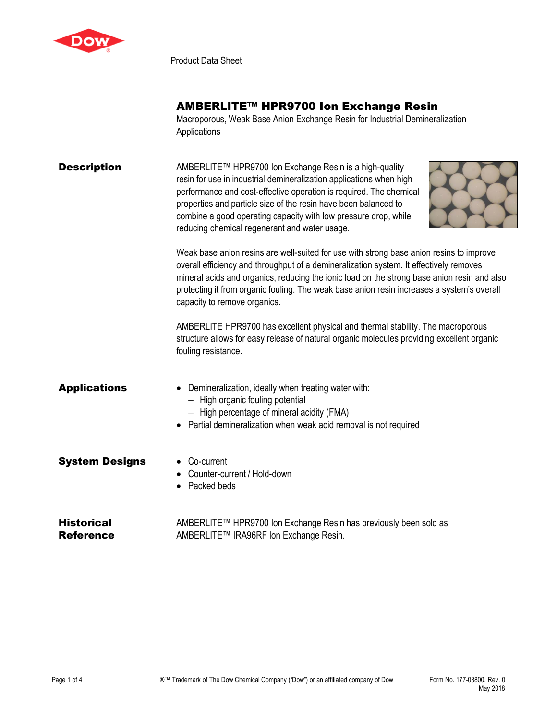

Product Data Sheet

## AMBERLITE™ HPR9700 Ion Exchange Resin

Macroporous, Weak Base Anion Exchange Resin for Industrial Demineralization **Applications** 

### **Description** AMBERLITE™ HPR9700 lon Exchange Resin is a high-quality resin for use in industrial demineralization applications when high performance and cost-effective operation is required. The chemical properties and particle size of the resin have been balanced to combine a good operating capacity with low pressure drop, while reducing chemical regenerant and water usage.



Weak base anion resins are well-suited for use with strong base anion resins to improve overall efficiency and throughput of a demineralization system. It effectively removes mineral acids and organics, reducing the ionic load on the strong base anion resin and also protecting it from organic fouling. The weak base anion resin increases a system's overall capacity to remove organics.

AMBERLITE HPR9700 has excellent physical and thermal stability. The macroporous structure allows for easy release of natural organic molecules providing excellent organic fouling resistance.

# Applications • Demineralization, ideally when treating water with: − High organic fouling potential − High percentage of mineral acidity (FMA) • Partial demineralization when weak acid removal is not required **System Designs • Co-current** • Counter-current / Hold-down • Packed beds

**Historical** Reference AMBERLITE™ HPR9700 Ion Exchange Resin has previously been sold as AMBERLITE™ IRA96RF Ion Exchange Resin.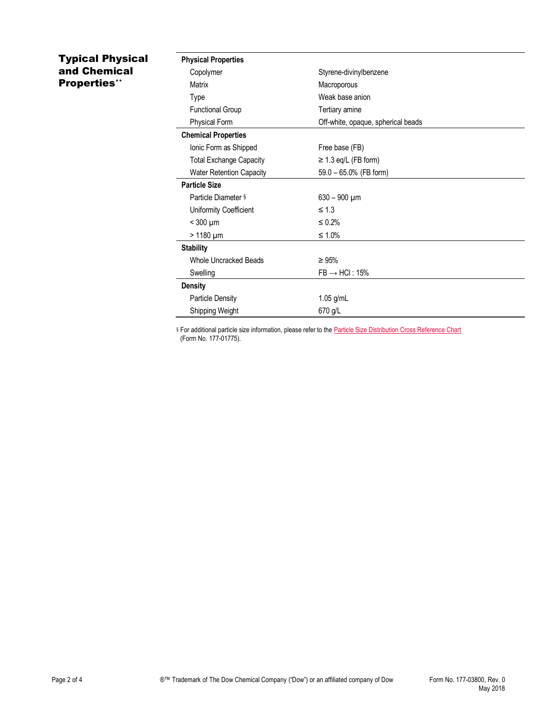### Typical Physical and Chemical Properties\*\*

| <b>Physical Properties</b>      |                                    |
|---------------------------------|------------------------------------|
| Copolymer                       | Styrene-divinylbenzene             |
| Matrix                          | Macroporous                        |
| Type                            | Weak base anion                    |
| <b>Functional Group</b>         | Tertiary amine                     |
| <b>Physical Form</b>            | Off-white, opaque, spherical beads |
| <b>Chemical Properties</b>      |                                    |
| Ionic Form as Shipped           | Free base (FB)                     |
| <b>Total Exchange Capacity</b>  | $\geq$ 1.3 eq/L (FB form)          |
| <b>Water Retention Capacity</b> | 59.0 - 65.0% (FB form)             |
| <b>Particle Size</b>            |                                    |
| Particle Diameter §             | $630 - 900 \mu m$                  |
| Uniformity Coefficient          | $\leq 1.3$                         |
| $<$ 300 $\mu$ m                 | $\leq 0.2\%$                       |
| $>1180 \mu m$                   | $\leq 1.0\%$                       |
| <b>Stability</b>                |                                    |
| Whole Uncracked Beads           | $\geq 95\%$                        |
| Swelling                        | $FB \rightarrow HCl$ : 15%         |
| <b>Density</b>                  |                                    |
| <b>Particle Density</b>         | $1.05$ g/mL                        |
| Shipping Weight                 | 670 g/L                            |

§ For additional particle size information, please refer to the **Particle Size Distribution Cross Reference Chart** (Form No. 177-01775).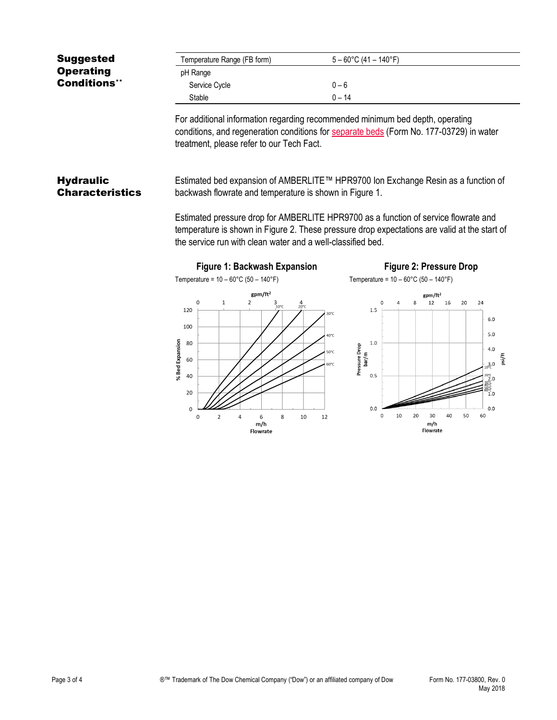| <b>Suggested</b>                           | Temperature Range (FB form)                                                                                                                                                                                                                                                                                                                                                                        | $5 - 60^{\circ}$ C (41 - 140°F)                                                                              |  |  |
|--------------------------------------------|----------------------------------------------------------------------------------------------------------------------------------------------------------------------------------------------------------------------------------------------------------------------------------------------------------------------------------------------------------------------------------------------------|--------------------------------------------------------------------------------------------------------------|--|--|
| <b>Operating</b>                           | pH Range                                                                                                                                                                                                                                                                                                                                                                                           |                                                                                                              |  |  |
| <b>Conditions**</b>                        | Service Cycle                                                                                                                                                                                                                                                                                                                                                                                      | $0 - 6$                                                                                                      |  |  |
|                                            | Stable                                                                                                                                                                                                                                                                                                                                                                                             | $0 - 14$                                                                                                     |  |  |
|                                            | For additional information regarding recommended minimum bed depth, operating<br>conditions, and regeneration conditions for separate beds (Form No. 177-03729) in water<br>treatment, please refer to our Tech Fact.                                                                                                                                                                              |                                                                                                              |  |  |
| <b>Hydraulic</b><br><b>Characteristics</b> | Estimated bed expansion of AMBERLITE™ HPR9700 Ion Exchange Resin as a function of<br>backwash flowrate and temperature is shown in Figure 1.<br>Estimated pressure drop for AMBERLITE HPR9700 as a function of service flowrate and<br>temperature is shown in Figure 2. These pressure drop expectations are valid at the start of<br>the service run with clean water and a well-classified bed. |                                                                                                              |  |  |
|                                            | Figure 1: Backwash Expansion                                                                                                                                                                                                                                                                                                                                                                       | <b>Figure 2: Pressure Drop</b>                                                                               |  |  |
|                                            | Temperature = $10 - 60^{\circ}$ C (50 - 140°F)                                                                                                                                                                                                                                                                                                                                                     | Temperature = $10 - 60^{\circ}$ C (50 - 140°F)                                                               |  |  |
|                                            | gpm/ft <sup>2</sup>                                                                                                                                                                                                                                                                                                                                                                                | gpm/ft <sup>2</sup>                                                                                          |  |  |
|                                            | 0<br>$\mathbf{1}$<br>2<br>$3$ <sub>10°C</sub><br>$4_{20°C}$<br>120<br>100                                                                                                                                                                                                                                                                                                                          | 12<br>20<br>16<br>24<br>$\mathbf{R}$<br>n<br>1.5<br>30°C<br>6.0<br>5.0<br>40°C                               |  |  |
|                                            | % Bed Expansion<br>80<br>60<br>40                                                                                                                                                                                                                                                                                                                                                                  | $1.0$<br>Pressure Drop<br>4.0<br>50°C<br>bar/m<br>psi/ft<br>$30^{3}$<br>60°C<br>0.5<br>$20^{\circ}$ C<br>2.0 |  |  |
|                                            | 20<br>$\mathbf 0$<br>0<br>$\overline{2}$<br>8<br>6<br>10<br>Δ                                                                                                                                                                                                                                                                                                                                      | 1.0<br>0.0<br>0.0<br>10<br>20<br>30<br>60<br>0<br>40<br>50<br>12                                             |  |  |
|                                            | m/h<br>Flowrate                                                                                                                                                                                                                                                                                                                                                                                    | m/h<br>Flowrate                                                                                              |  |  |